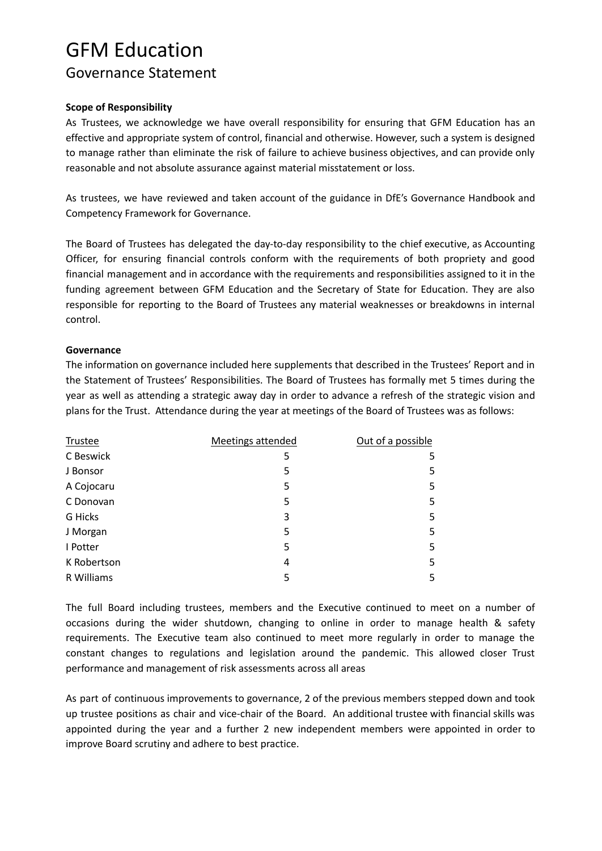## GFM Education Governance Statement

#### **Scope of Responsibility**

As Trustees, we acknowledge we have overall responsibility for ensuring that GFM Education has an effective and appropriate system of control, financial and otherwise. However, such a system is designed to manage rather than eliminate the risk of failure to achieve business objectives, and can provide only reasonable and not absolute assurance against material misstatement or loss.

As trustees, we have reviewed and taken account of the guidance in DfE's Governance Handbook and Competency Framework for Governance.

The Board of Trustees has delegated the day-to-day responsibility to the chief executive, as Accounting Officer, for ensuring financial controls conform with the requirements of both propriety and good financial management and in accordance with the requirements and responsibilities assigned to it in the funding agreement between GFM Education and the Secretary of State for Education. They are also responsible for reporting to the Board of Trustees any material weaknesses or breakdowns in internal control.

#### **Governance**

The information on governance included here supplements that described in the Trustees' Report and in the Statement of Trustees' Responsibilities. The Board of Trustees has formally met 5 times during the year as well as attending a strategic away day in order to advance a refresh of the strategic vision and plans for the Trust. Attendance during the year at meetings of the Board of Trustees was as follows:

| Trustee     | Meetings attended | Out of a possible |
|-------------|-------------------|-------------------|
| C Beswick   | 5                 | 5                 |
| J Bonsor    | 5                 | 5                 |
| A Cojocaru  | 5                 | 5                 |
| C Donovan   | 5                 | 5                 |
| G Hicks     | 3                 | 5                 |
| J Morgan    | 5                 | 5                 |
| I Potter    | 5                 | 5                 |
| K Robertson | 4                 | 5                 |
| R Williams  | 5                 | 5                 |

The full Board including trustees, members and the Executive continued to meet on a number of occasions during the wider shutdown, changing to online in order to manage health & safety requirements. The Executive team also continued to meet more regularly in order to manage the constant changes to regulations and legislation around the pandemic. This allowed closer Trust performance and management of risk assessments across all areas

As part of continuous improvements to governance, 2 of the previous members stepped down and took up trustee positions as chair and vice-chair of the Board. An additional trustee with financial skills was appointed during the year and a further 2 new independent members were appointed in order to improve Board scrutiny and adhere to best practice.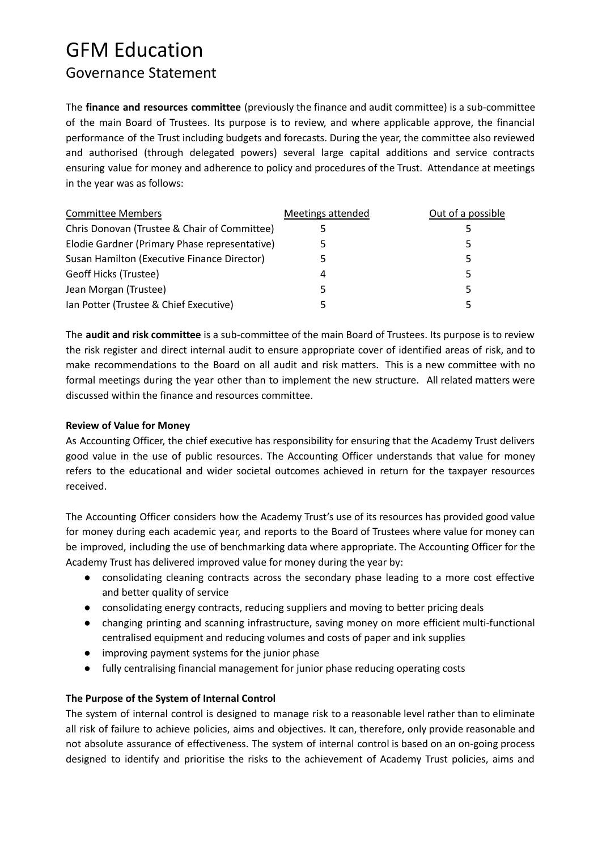## GFM Education Governance Statement

The **finance and resources committee** (previously the finance and audit committee) is a sub-committee of the main Board of Trustees. Its purpose is to review, and where applicable approve, the financial performance of the Trust including budgets and forecasts. During the year, the committee also reviewed and authorised (through delegated powers) several large capital additions and service contracts ensuring value for money and adherence to policy and procedures of the Trust. Attendance at meetings in the year was as follows:

| <b>Committee Members</b>                      | Meetings attended | Out of a possible |
|-----------------------------------------------|-------------------|-------------------|
| Chris Donovan (Trustee & Chair of Committee)  |                   |                   |
| Elodie Gardner (Primary Phase representative) |                   | 5                 |
| Susan Hamilton (Executive Finance Director)   |                   | 5                 |
| Geoff Hicks (Trustee)                         | 4                 | 5                 |
| Jean Morgan (Trustee)                         |                   | 5                 |
| Ian Potter (Trustee & Chief Executive)        |                   |                   |

The **audit and risk committee** is a sub-committee of the main Board of Trustees. Its purpose is to review the risk register and direct internal audit to ensure appropriate cover of identified areas of risk, and to make recommendations to the Board on all audit and risk matters. This is a new committee with no formal meetings during the year other than to implement the new structure. All related matters were discussed within the finance and resources committee.

### **Review of Value for Money**

As Accounting Officer, the chief executive has responsibility for ensuring that the Academy Trust delivers good value in the use of public resources. The Accounting Officer understands that value for money refers to the educational and wider societal outcomes achieved in return for the taxpayer resources received.

The Accounting Officer considers how the Academy Trust's use of its resources has provided good value for money during each academic year, and reports to the Board of Trustees where value for money can be improved, including the use of benchmarking data where appropriate. The Accounting Officer for the Academy Trust has delivered improved value for money during the year by:

- consolidating cleaning contracts across the secondary phase leading to a more cost effective and better quality of service
- consolidating energy contracts, reducing suppliers and moving to better pricing deals
- changing printing and scanning infrastructure, saving money on more efficient multi-functional centralised equipment and reducing volumes and costs of paper and ink supplies
- improving payment systems for the junior phase
- fully centralising financial management for junior phase reducing operating costs

### **The Purpose of the System of Internal Control**

The system of internal control is designed to manage risk to a reasonable level rather than to eliminate all risk of failure to achieve policies, aims and objectives. It can, therefore, only provide reasonable and not absolute assurance of effectiveness. The system of internal control is based on an on-going process designed to identify and prioritise the risks to the achievement of Academy Trust policies, aims and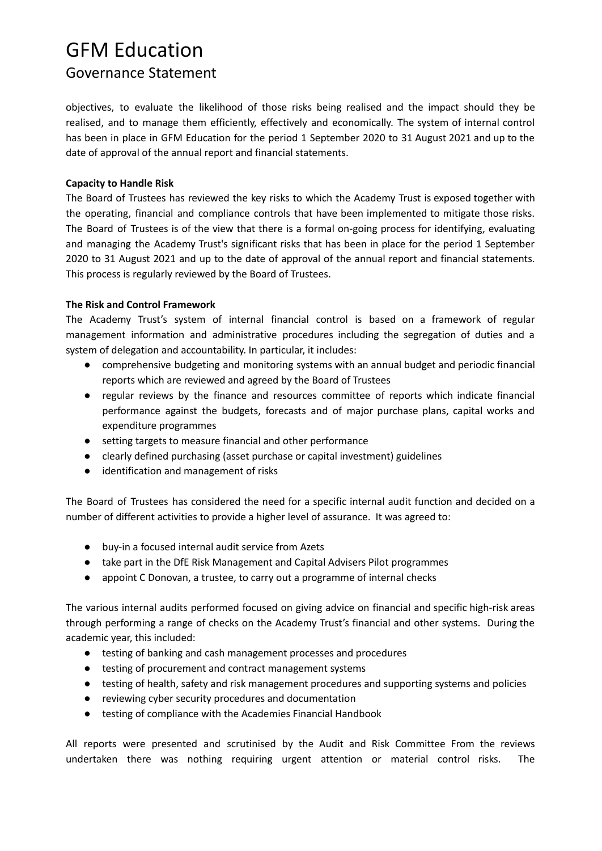## GFM Education

## Governance Statement

objectives, to evaluate the likelihood of those risks being realised and the impact should they be realised, and to manage them efficiently, effectively and economically. The system of internal control has been in place in GFM Education for the period 1 September 2020 to 31 August 2021 and up to the date of approval of the annual report and financial statements.

### **Capacity to Handle Risk**

The Board of Trustees has reviewed the key risks to which the Academy Trust is exposed together with the operating, financial and compliance controls that have been implemented to mitigate those risks. The Board of Trustees is of the view that there is a formal on-going process for identifying, evaluating and managing the Academy Trust's significant risks that has been in place for the period 1 September 2020 to 31 August 2021 and up to the date of approval of the annual report and financial statements. This process is regularly reviewed by the Board of Trustees.

## **The Risk and Control Framework**

The Academy Trust's system of internal financial control is based on a framework of regular management information and administrative procedures including the segregation of duties and a system of delegation and accountability. In particular, it includes:

- comprehensive budgeting and monitoring systems with an annual budget and periodic financial reports which are reviewed and agreed by the Board of Trustees
- regular reviews by the finance and resources committee of reports which indicate financial performance against the budgets, forecasts and of major purchase plans, capital works and expenditure programmes
- setting targets to measure financial and other performance
- clearly defined purchasing (asset purchase or capital investment) guidelines
- identification and management of risks

The Board of Trustees has considered the need for a specific internal audit function and decided on a number of different activities to provide a higher level of assurance. It was agreed to:

- buy-in a focused internal audit service from Azets
- take part in the DfE Risk Management and Capital Advisers Pilot programmes
- appoint C Donovan, a trustee, to carry out a programme of internal checks

The various internal audits performed focused on giving advice on financial and specific high-risk areas through performing a range of checks on the Academy Trust's financial and other systems. During the academic year, this included:

- testing of banking and cash management processes and procedures
- testing of procurement and contract management systems
- testing of health, safety and risk management procedures and supporting systems and policies
- reviewing cyber security procedures and documentation
- testing of compliance with the Academies Financial Handbook

All reports were presented and scrutinised by the Audit and Risk Committee From the reviews undertaken there was nothing requiring urgent attention or material control risks. The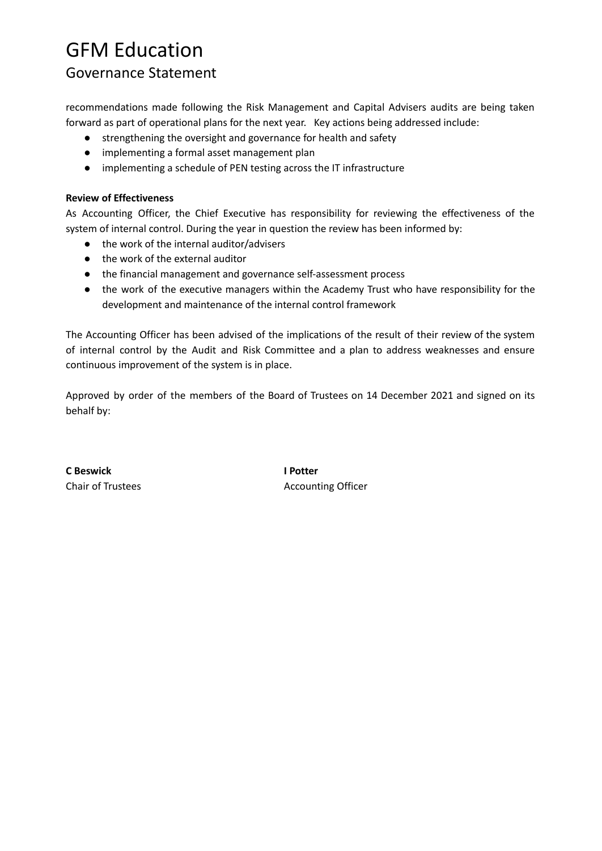## GFM Education

## Governance Statement

recommendations made following the Risk Management and Capital Advisers audits are being taken forward as part of operational plans for the next year. Key actions being addressed include:

- strengthening the oversight and governance for health and safety
- implementing a formal asset management plan
- implementing a schedule of PEN testing across the IT infrastructure

### **Review of Effectiveness**

As Accounting Officer, the Chief Executive has responsibility for reviewing the effectiveness of the system of internal control. During the year in question the review has been informed by:

- the work of the internal auditor/advisers
- the work of the external auditor
- the financial management and governance self-assessment process
- the work of the executive managers within the Academy Trust who have responsibility for the development and maintenance of the internal control framework

The Accounting Officer has been advised of the implications of the result of their review of the system of internal control by the Audit and Risk Committee and a plan to address weaknesses and ensure continuous improvement of the system is in place.

Approved by order of the members of the Board of Trustees on 14 December 2021 and signed on its behalf by:

**C Beswick I Potter**

Chair of Trustees **Accounting Officer** Accounting Officer